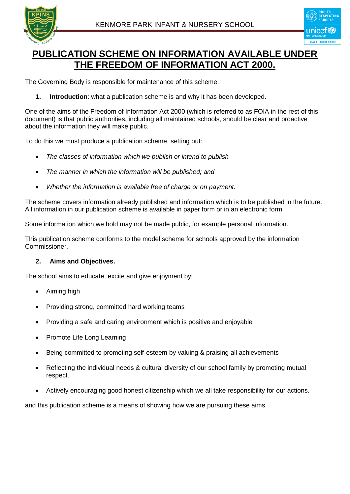



# **PUBLICATION SCHEME ON INFORMATION AVAILABLE UNDER THE FREEDOM OF INFORMATION ACT 2000.**

The Governing Body is responsible for maintenance of this scheme.

**1. Introduction**: what a publication scheme is and why it has been developed.

One of the aims of the Freedom of Information Act 2000 (which is referred to as FOIA in the rest of this document) is that public authorities, including all maintained schools, should be clear and proactive about the information they will make public.

To do this we must produce a publication scheme, setting out:

- *The classes of information which we publish or intend to publish*
- *The manner in which the information will be published; and*
- *Whether the information is available free of charge or on payment.*

The scheme covers information already published and information which is to be published in the future. All information in our publication scheme is available in paper form or in an electronic form.

Some information which we hold may not be made public, for example personal information.

This publication scheme conforms to the model scheme for schools approved by the information Commissioner.

## **2. Aims and Objectives.**

The school aims to educate, excite and give enjoyment by:

- Aiming high
- Providing strong, committed hard working teams
- Providing a safe and caring environment which is positive and enjoyable
- Promote Life Long Learning
- Being committed to promoting self-esteem by valuing & praising all achievements
- Reflecting the individual needs & cultural diversity of our school family by promoting mutual respect.
- Actively encouraging good honest citizenship which we all take responsibility for our actions.

and this publication scheme is a means of showing how we are pursuing these aims.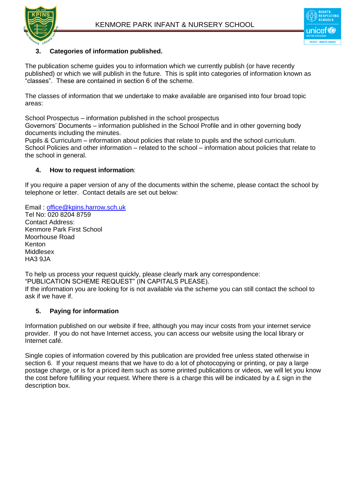



# **3. Categories of information published.**

The publication scheme guides you to information which we currently publish (or have recently published) or which we will publish in the future. This is split into categories of information known as "classes". These are contained in section 6 of the scheme.

The classes of information that we undertake to make available are organised into four broad topic areas:

School Prospectus – information published in the school prospectus

Governors' Documents – information published in the School Profile and in other governing body documents including the minutes.

Pupils & Curriculum – information about policies that relate to pupils and the school curriculum. School Policies and other information – related to the school – information about policies that relate to the school in general.

#### **4. How to request information**:

If you require a paper version of any of the documents within the scheme, please contact the school by telephone or letter. Contact details are set out below:

Email : [office@kpins.harrow.sch.uk](mailto:office@kpins.harrow.sch.uk)

Tel No: 020 8204 8759 Contact Address: Kenmore Park First School Moorhouse Road Kenton Middlesex **HA3 9JA** 

To help us process your request quickly, please clearly mark any correspondence: "PUBLICATION SCHEME REQUEST" (IN CAPITALS PLEASE). If the information you are looking for is not available via the scheme you can still contact the school to ask if we have if.

## **5. Paying for information**

Information published on our website if free, although you may incur costs from your internet service provider. If you do not have Internet access, you can access our website using the local library or Internet café.

Single copies of information covered by this publication are provided free unless stated otherwise in section 6. If your request means that we have to do a lot of photocopying or printing, or pay a large postage charge, or is for a priced item such as some printed publications or videos, we will let you know the cost before fulfilling your request. Where there is a charge this will be indicated by a  $E$  sign in the description box.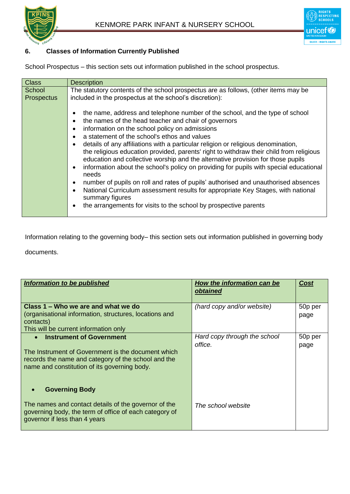

# **6. Classes of Information Currently Published**

School Prospectus – this section sets out information published in the school prospectus.

| <b>Class</b>                | <b>Description</b>                                                                                                                                                                                                                                                                                                                                                                                                                                                                                                                                                                                                                                                                                                                                                                                                                                                                                                                               |
|-----------------------------|--------------------------------------------------------------------------------------------------------------------------------------------------------------------------------------------------------------------------------------------------------------------------------------------------------------------------------------------------------------------------------------------------------------------------------------------------------------------------------------------------------------------------------------------------------------------------------------------------------------------------------------------------------------------------------------------------------------------------------------------------------------------------------------------------------------------------------------------------------------------------------------------------------------------------------------------------|
| School<br><b>Prospectus</b> | The statutory contents of the school prospectus are as follows, (other items may be<br>included in the prospectus at the school's discretion):                                                                                                                                                                                                                                                                                                                                                                                                                                                                                                                                                                                                                                                                                                                                                                                                   |
|                             | the name, address and telephone number of the school, and the type of school<br>٠<br>the names of the head teacher and chair of governors<br>٠<br>information on the school policy on admissions<br>$\bullet$<br>a statement of the school's ethos and values<br>$\bullet$<br>details of any affiliations with a particular religion or religious denomination,<br>the religious education provided, parents' right to withdraw their child from religious<br>education and collective worship and the alternative provision for those pupils<br>information about the school's policy on providing for pupils with special educational<br>$\bullet$<br>needs<br>number of pupils on roll and rates of pupils' authorised and unauthorised absences<br>٠<br>National Curriculum assessment results for appropriate Key Stages, with national<br>$\bullet$<br>summary figures<br>the arrangements for visits to the school by prospective parents |

Information relating to the governing body– this section sets out information published in governing body

documents.

| <b>Information to be published</b>                                                                                                                                                                        | <b>How the information can be</b><br>obtained | Cost            |
|-----------------------------------------------------------------------------------------------------------------------------------------------------------------------------------------------------------|-----------------------------------------------|-----------------|
| Class 1 – Who we are and what we do<br>(organisational information, structures, locations and<br>contacts)<br>This will be current information only                                                       | (hard copy and/or website)                    | 50p per<br>page |
| <b>Instrument of Government</b><br>$\bullet$<br>The Instrument of Government is the document which<br>records the name and category of the school and the<br>name and constitution of its governing body. | Hard copy through the school<br>office.       | 50p per<br>page |
| <b>Governing Body</b>                                                                                                                                                                                     |                                               |                 |
| The names and contact details of the governor of the<br>governing body, the term of office of each category of<br>governor if less than 4 years                                                           | The school website                            |                 |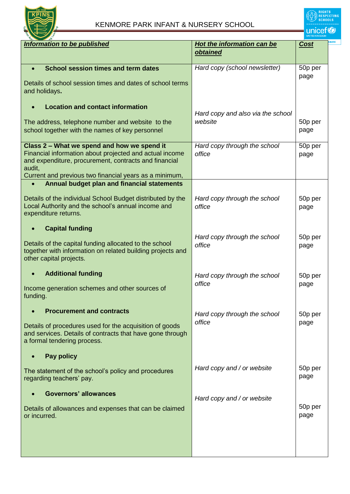

**unicef®** 

| <b>Information to be published</b>                         | <b>Hot the information can be</b> | <u>Cost</u> |  |
|------------------------------------------------------------|-----------------------------------|-------------|--|
|                                                            | <b>obtained</b>                   |             |  |
|                                                            |                                   |             |  |
|                                                            |                                   |             |  |
| <b>School session times and term dates</b><br>$\bullet$    | Hard copy (school newsletter)     | 50p per     |  |
|                                                            |                                   | page        |  |
| Details of school session times and dates of school terms  |                                   |             |  |
| and holidays.                                              |                                   |             |  |
|                                                            |                                   |             |  |
| <b>Location and contact information</b>                    |                                   |             |  |
|                                                            | Hard copy and also via the school |             |  |
|                                                            |                                   |             |  |
| The address, telephone number and website to the           | website                           | 50p per     |  |
| school together with the names of key personnel            |                                   | page        |  |
|                                                            |                                   |             |  |
| Class 2 - What we spend and how we spend it                | Hard copy through the school      | 50p per     |  |
| Financial information about projected and actual income    | office                            |             |  |
|                                                            |                                   | page        |  |
| and expenditure, procurement, contracts and financial      |                                   |             |  |
| audit,                                                     |                                   |             |  |
| Current and previous two financial years as a minimum,     |                                   |             |  |
| Annual budget plan and financial statements<br>$\bullet$   |                                   |             |  |
|                                                            |                                   |             |  |
| Details of the individual School Budget distributed by the | Hard copy through the school      | 50p per     |  |
| Local Authority and the school's annual income and         | office                            |             |  |
|                                                            |                                   | page        |  |
| expenditure returns.                                       |                                   |             |  |
|                                                            |                                   |             |  |
| <b>Capital funding</b>                                     |                                   |             |  |
|                                                            | Hard copy through the school      | 50p per     |  |
| Details of the capital funding allocated to the school     | office                            | page        |  |
| together with information on related building projects and |                                   |             |  |
| other capital projects.                                    |                                   |             |  |
|                                                            |                                   |             |  |
|                                                            |                                   |             |  |
| <b>Additional funding</b><br>$\bullet$                     | Hard copy through the school      | 50p per     |  |
|                                                            | office                            | page        |  |
| Income generation schemes and other sources of             |                                   |             |  |
| funding.                                                   |                                   |             |  |
|                                                            |                                   |             |  |
| <b>Procurement and contracts</b>                           |                                   |             |  |
|                                                            | Hard copy through the school      | 50p per     |  |
| Details of procedures used for the acquisition of goods    | office                            | page        |  |
| and services. Details of contracts that have gone through  |                                   |             |  |
|                                                            |                                   |             |  |
| a formal tendering process.                                |                                   |             |  |
|                                                            |                                   |             |  |
| Pay policy<br>$\bullet$                                    |                                   |             |  |
|                                                            |                                   |             |  |
| The statement of the school's policy and procedures        | Hard copy and / or website        | 50p per     |  |
| regarding teachers' pay.                                   |                                   | page        |  |
|                                                            |                                   |             |  |
| <b>Governors' allowances</b>                               |                                   |             |  |
|                                                            | Hard copy and / or website        |             |  |
|                                                            |                                   | 50p per     |  |
| Details of allowances and expenses that can be claimed     |                                   |             |  |
| or incurred.                                               |                                   | page        |  |
|                                                            |                                   |             |  |
|                                                            |                                   |             |  |
|                                                            |                                   |             |  |
|                                                            |                                   |             |  |
|                                                            |                                   |             |  |
|                                                            |                                   |             |  |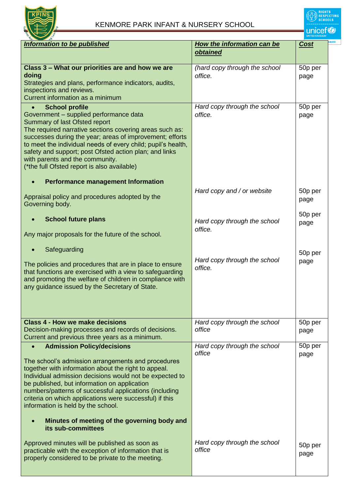

| <b>Information to be published</b>                           | How the information can be    | Cost    |
|--------------------------------------------------------------|-------------------------------|---------|
|                                                              | obtained                      |         |
|                                                              |                               |         |
| Class 3 – What our priorities are and how we are             | (hard copy through the school | 50p per |
| doing                                                        | office.                       | page    |
| Strategies and plans, performance indicators, audits,        |                               |         |
| inspections and reviews.                                     |                               |         |
| Current information as a minimum                             |                               |         |
|                                                              |                               |         |
| <b>School profile</b><br>$\bullet$                           | Hard copy through the school  | 50p per |
| Government - supplied performance data                       | office.                       | page    |
| Summary of last Ofsted report                                |                               |         |
| The required narrative sections covering areas such as:      |                               |         |
| successes during the year; areas of improvement; efforts     |                               |         |
| to meet the individual needs of every child; pupil's health, |                               |         |
| safety and support; post Ofsted action plan; and links       |                               |         |
| with parents and the community.                              |                               |         |
| (*the full Ofsted report is also available)                  |                               |         |
|                                                              |                               |         |
| <b>Performance management Information</b>                    |                               |         |
|                                                              | Hard copy and / or website    | 50p per |
| Appraisal policy and procedures adopted by the               |                               | page    |
| Governing body.                                              |                               |         |
|                                                              |                               |         |
| <b>School future plans</b>                                   |                               | 50p per |
|                                                              | Hard copy through the school  | page    |
| Any major proposals for the future of the school.            | office.                       |         |
|                                                              |                               |         |
| Safeguarding                                                 |                               |         |
|                                                              |                               | 50p per |
| The policies and procedures that are in place to ensure      | Hard copy through the school  | page    |
| that functions are exercised with a view to safeguarding     | office.                       |         |
| and promoting the welfare of children in compliance with     |                               |         |
|                                                              |                               |         |
| any guidance issued by the Secretary of State.               |                               |         |
|                                                              |                               |         |
|                                                              |                               |         |
|                                                              |                               |         |
| <b>Class 4 - How we make decisions</b>                       | Hard copy through the school  | 50p per |
| Decision-making processes and records of decisions.          | office                        | page    |
| Current and previous three years as a minimum.               |                               |         |
| <b>Admission Policy/decisions</b>                            | Hard copy through the school  | 50p per |
|                                                              | office                        | page    |
| The school's admission arrangements and procedures           |                               |         |
| together with information about the right to appeal.         |                               |         |
| Individual admission decisions would not be expected to      |                               |         |
|                                                              |                               |         |
| be published, but information on application                 |                               |         |
| numbers/patterns of successful applications (including       |                               |         |
| criteria on which applications were successful) if this      |                               |         |
| information is held by the school.                           |                               |         |
|                                                              |                               |         |
| Minutes of meeting of the governing body and                 |                               |         |
| its sub-committees                                           |                               |         |
|                                                              |                               |         |
| Approved minutes will be published as soon as                | Hard copy through the school  | 50p per |
| practicable with the exception of information that is        | office                        | page    |
| properly considered to be private to the meeting.            |                               |         |
|                                                              |                               |         |
|                                                              |                               |         |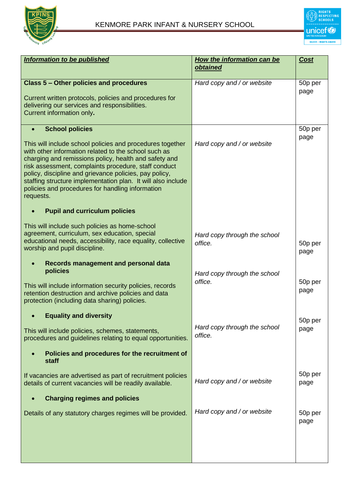

| <b>Information to be published</b>                                                                                                                                                                                                                                                                                                                                                                                                                      | How the information can be<br>obtained  | Cost            |
|---------------------------------------------------------------------------------------------------------------------------------------------------------------------------------------------------------------------------------------------------------------------------------------------------------------------------------------------------------------------------------------------------------------------------------------------------------|-----------------------------------------|-----------------|
| <b>Class 5 - Other policies and procedures</b><br>Current written protocols, policies and procedures for<br>delivering our services and responsibilities.<br>Current information only.                                                                                                                                                                                                                                                                  | Hard copy and / or website              | 50p per<br>page |
| <b>School policies</b><br>This will include school policies and procedures together<br>with other information related to the school such as<br>charging and remissions policy, health and safety and<br>risk assessment, complaints procedure, staff conduct<br>policy, discipline and grievance policies, pay policy,<br>staffing structure implementation plan. It will also include<br>policies and procedures for handling information<br>requests. | Hard copy and / or website              | 50p per<br>page |
| <b>Pupil and curriculum policies</b>                                                                                                                                                                                                                                                                                                                                                                                                                    |                                         |                 |
| This will include such policies as home-school<br>agreement, curriculum, sex education, special<br>educational needs, accessibility, race equality, collective<br>worship and pupil discipline.                                                                                                                                                                                                                                                         | Hard copy through the school<br>office. | 50p per<br>page |
| Records management and personal data<br>policies<br>This will include information security policies, records<br>retention destruction and archive policies and data<br>protection (including data sharing) policies.                                                                                                                                                                                                                                    | Hard copy through the school<br>office. | 50p per<br>page |
| <b>Equality and diversity</b><br>This will include policies, schemes, statements,<br>procedures and guidelines relating to equal opportunities.<br>Policies and procedures for the recruitment of                                                                                                                                                                                                                                                       | Hard copy through the school<br>office. | 50p per<br>page |
| staff                                                                                                                                                                                                                                                                                                                                                                                                                                                   |                                         |                 |
| If vacancies are advertised as part of recruitment policies<br>details of current vacancies will be readily available.                                                                                                                                                                                                                                                                                                                                  | Hard copy and / or website              | 50p per<br>page |
| <b>Charging regimes and policies</b>                                                                                                                                                                                                                                                                                                                                                                                                                    |                                         |                 |
| Details of any statutory charges regimes will be provided.                                                                                                                                                                                                                                                                                                                                                                                              | Hard copy and / or website              | 50p per<br>page |
|                                                                                                                                                                                                                                                                                                                                                                                                                                                         |                                         |                 |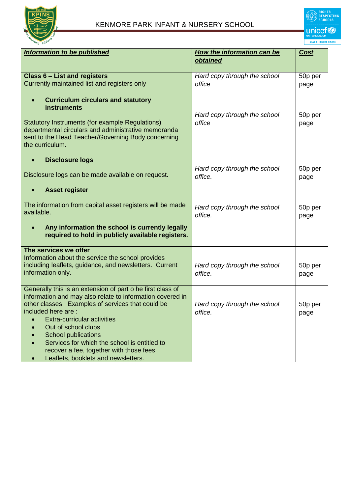

| Information to be published                                                                                                                                                                                                                                                                                                                                                              | How the information can be              | <b>Cost</b>     |
|------------------------------------------------------------------------------------------------------------------------------------------------------------------------------------------------------------------------------------------------------------------------------------------------------------------------------------------------------------------------------------------|-----------------------------------------|-----------------|
|                                                                                                                                                                                                                                                                                                                                                                                          | obtained                                |                 |
| <b>Class 6 - List and registers</b>                                                                                                                                                                                                                                                                                                                                                      | Hard copy through the school            | 50p per         |
| Currently maintained list and registers only                                                                                                                                                                                                                                                                                                                                             | office                                  | page            |
| <b>Curriculum circulars and statutory</b><br>$\bullet$<br><b>instruments</b><br>Statutory Instruments (for example Regulations)<br>departmental circulars and administrative memoranda<br>sent to the Head Teacher/Governing Body concerning<br>the curriculum.                                                                                                                          | Hard copy through the school<br>office  | 50p per<br>page |
| <b>Disclosure logs</b><br>$\bullet$                                                                                                                                                                                                                                                                                                                                                      |                                         |                 |
| Disclosure logs can be made available on request.                                                                                                                                                                                                                                                                                                                                        | Hard copy through the school<br>office. | 50p per<br>page |
| <b>Asset register</b>                                                                                                                                                                                                                                                                                                                                                                    |                                         |                 |
| The information from capital asset registers will be made<br>available.                                                                                                                                                                                                                                                                                                                  | Hard copy through the school<br>office. | 50p per<br>page |
| Any information the school is currently legally<br>$\bullet$<br>required to hold in publicly available registers.                                                                                                                                                                                                                                                                        |                                         |                 |
| The services we offer                                                                                                                                                                                                                                                                                                                                                                    |                                         |                 |
| Information about the service the school provides<br>including leaflets, guidance, and newsletters. Current<br>information only.                                                                                                                                                                                                                                                         | Hard copy through the school<br>office. | 50p per<br>page |
| Generally this is an extension of part o he first class of<br>information and may also relate to information covered in<br>other classes. Examples of services that could be<br>included here are:<br><b>Extra-curricular activities</b><br>Out of school clubs<br><b>School publications</b><br>Services for which the school is entitled to<br>recover a fee, together with those fees | Hard copy through the school<br>office. | 50p per<br>page |
| Leaflets, booklets and newsletters.<br>$\bullet$                                                                                                                                                                                                                                                                                                                                         |                                         |                 |